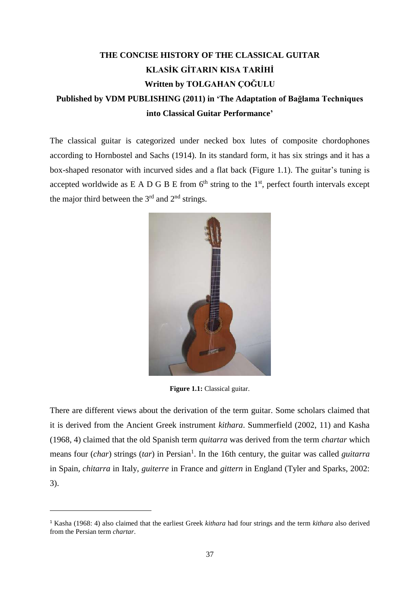## **THE CONCISE HISTORY OF THE CLASSICAL GUITAR KLASİK GİTARIN KISA TARİHİ Written by TOLGAHAN ÇOĞULU Published by VDM PUBLISHING (2011) in 'The Adaptation of Bağlama Techniques**

## **into Classical Guitar Performance'**

The classical guitar is categorized under necked box lutes of composite chordophones according to Hornbostel and Sachs (1914). In its standard form, it has six strings and it has a box-shaped resonator with incurved sides and a flat back (Figure 1.1). The guitar's tuning is accepted worldwide as  $E A D G B E$  from  $6<sup>th</sup>$  string to the 1<sup>st</sup>, perfect fourth intervals except the major third between the  $3<sup>rd</sup>$  and  $2<sup>nd</sup>$  strings.



**Figure 1.1:** Classical guitar.

There are different views about the derivation of the term guitar. Some scholars claimed that it is derived from the Ancient Greek instrument *kithara*. Summerfield (2002, 11) and Kasha (1968, 4) claimed that the old Spanish term *quitarra* was derived from the term *chartar* which means four (*char*) strings (*tar*) in Persian<sup>1</sup>. In the 16th century, the guitar was called *guitarra* in Spain, *chitarra* in Italy, *guiterre* in France and *gittern* in England (Tyler and Sparks, 2002: 3).

 $\ddot{\phantom{a}}$ 

<sup>1</sup> Kasha (1968: 4) also claimed that the earliest Greek *kithara* had four strings and the term *kithara* also derived from the Persian term *chartar*.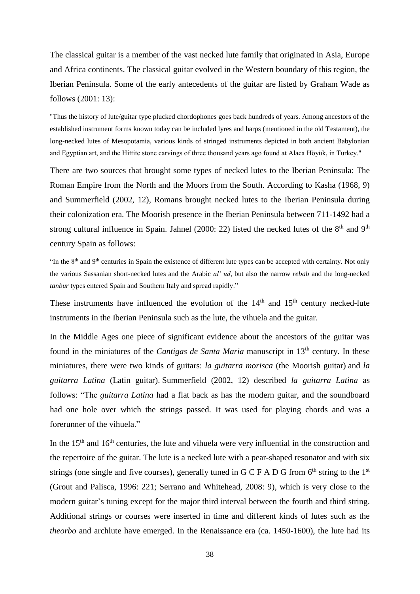The classical guitar is a member of the vast necked lute family that originated in Asia, Europe and Africa continents. The classical guitar evolved in the Western boundary of this region, the Iberian Peninsula. Some of the early antecedents of the guitar are listed by Graham Wade as follows (2001: 13):

"Thus the history of lute/guitar type plucked chordophones goes back hundreds of years. Among ancestors of the established instrument forms known today can be included lyres and harps (mentioned in the old Testament), the long-necked lutes of Mesopotamia, various kinds of stringed instruments depicted in both ancient Babylonian and Egyptian art, and the Hittite stone carvings of three thousand years ago found at Alaca Höyük, in Turkey."

There are two sources that brought some types of necked lutes to the Iberian Peninsula: The Roman Empire from the North and the Moors from the South. According to Kasha (1968, 9) and Summerfield (2002, 12), Romans brought necked lutes to the Iberian Peninsula during their colonization era. The Moorish presence in the Iberian Peninsula between 711-1492 had a strong cultural influence in Spain. Jahnel (2000: 22) listed the necked lutes of the  $8<sup>th</sup>$  and  $9<sup>th</sup>$ century Spain as follows:

"In the 8th and 9th centuries in Spain the existence of different lute types can be accepted with certainty. Not only the various Sassanian short-necked lutes and the Arabic *al' ud*, but also the narrow *rebab* and the long-necked *tanbur* types entered Spain and Southern Italy and spread rapidly."

These instruments have influenced the evolution of the  $14<sup>th</sup>$  and  $15<sup>th</sup>$  century necked-lute instruments in the Iberian Peninsula such as the lute, the vihuela and the guitar.

In the Middle Ages one piece of significant evidence about the ancestors of the guitar was found in the miniatures of the *Cantigas de Santa Maria* manuscript in 13th century. In these miniatures, there were two kinds of guitars: *la guitarra morisca* (the Moorish guitar) and *la guitarra Latina* (Latin guitar). Summerfield (2002, 12) described *la guitarra Latina* as follows: "The *guitarra Latina* had a flat back as has the modern guitar, and the soundboard had one hole over which the strings passed. It was used for playing chords and was a forerunner of the vihuela."

In the  $15<sup>th</sup>$  and  $16<sup>th</sup>$  centuries, the lute and vihuela were very influential in the construction and the repertoire of the guitar. The lute is a necked lute with a pear-shaped resonator and with six strings (one single and five courses), generally tuned in G C F A D G from  $6<sup>th</sup>$  string to the 1<sup>st</sup> (Grout and Palisca, 1996: 221; Serrano and Whitehead, 2008: 9), which is very close to the modern guitar's tuning except for the major third interval between the fourth and third string. Additional strings or courses were inserted in time and different kinds of lutes such as the *theorbo* and archlute have emerged. In the Renaissance era (ca. 1450-1600), the lute had its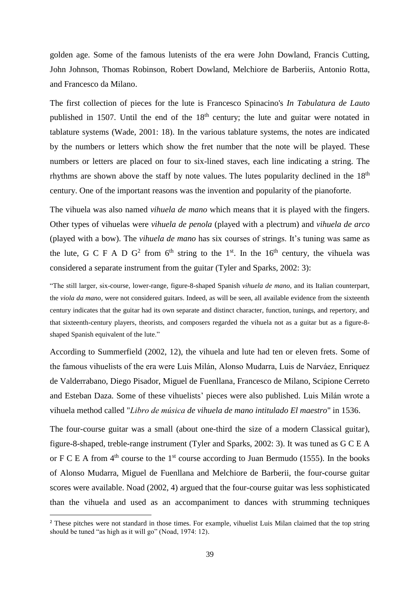golden age. Some of the famous lutenists of the era were John Dowland, Francis Cutting, John Johnson, Thomas Robinson, Robert Dowland, Melchiore de Barberiis, Antonio Rotta, and Francesco da Milano.

The first collection of pieces for the lute is Francesco Spinacino's *In Tabulatura de Lauto* published in 1507. Until the end of the 18<sup>th</sup> century; the lute and guitar were notated in tablature systems (Wade, 2001: 18). In the various tablature systems, the notes are indicated by the numbers or letters which show the fret number that the note will be played. These numbers or letters are placed on four to six-lined staves, each line indicating a string. The rhythms are shown above the staff by note values. The lutes popularity declined in the  $18<sup>th</sup>$ century. One of the important reasons was the invention and popularity of the pianoforte.

The vihuela was also named *vihuela de mano* which means that it is played with the fingers. Other types of vihuelas were *vihuela de penola* (played with a plectrum) and *vihuela de arco* (played with a bow). The *vihuela de mano* has six courses of strings. It's tuning was same as the lute, G C F A D G<sup>2</sup> from  $6<sup>th</sup>$  string to the 1<sup>st</sup>. In the 16<sup>th</sup> century, the vihuela was considered a separate instrument from the guitar (Tyler and Sparks, 2002: 3):

"The still larger, six-course, lower-range, figure-8-shaped Spanish *vihuela de mano*, and its Italian counterpart, the *viola da mano*, were not considered guitars. Indeed, as will be seen, all available evidence from the sixteenth century indicates that the guitar had its own separate and distinct character, function, tunings, and repertory, and that sixteenth-century players, theorists, and composers regarded the vihuela not as a guitar but as a figure-8 shaped Spanish equivalent of the lute."

According to Summerfield (2002, 12), the vihuela and lute had ten or eleven frets. Some of the famous vihuelists of the era were Luis Milán, Alonso Mudarra, Luis de Narváez, Enriquez de Valderrabano, Diego Pisador, Miguel de Fuenllana, Francesco de Milano, Scipione Cerreto and Esteban Daza. Some of these vihuelists' pieces were also published. Luis Milán wrote a vihuela method called "*Libro de música de vihuela de mano intitulado El maestro*" in 1536.

The four-course guitar was a small (about one-third the size of a modern Classical guitar), figure-8-shaped, treble-range instrument (Tyler and Sparks, 2002: 3). It was tuned as G C E A or F C E A from  $4<sup>th</sup>$  course to the  $1<sup>st</sup>$  course according to Juan Bermudo (1555). In the books of Alonso Mudarra, Miguel de Fuenllana and Melchiore de Barberii, the four-course guitar scores were available. Noad (2002, 4) argued that the four-course guitar was less sophisticated than the vihuela and used as an accompaniment to dances with strumming techniques

 $\ddot{\phantom{a}}$ 

<sup>&</sup>lt;sup>2</sup> These pitches were not standard in those times. For example, vihuelist Luis Milan claimed that the top string should be tuned "as high as it will go" (Noad, 1974: 12).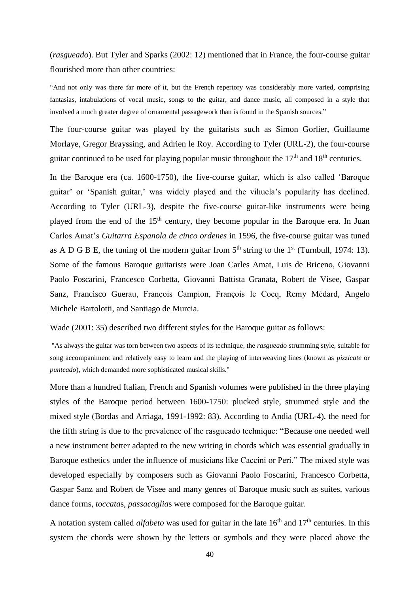(*rasgueado*). But Tyler and Sparks (2002: 12) mentioned that in France, the four-course guitar flourished more than other countries:

"And not only was there far more of it, but the French repertory was considerably more varied, comprising fantasias, intabulations of vocal music, songs to the guitar, and dance music, all composed in a style that involved a much greater degree of ornamental passagework than is found in the Spanish sources."

The four-course guitar was played by the guitarists such as Simon Gorlier, Guillaume Morlaye, Gregor Brayssing, and Adrien le Roy. According to Tyler (URL-2), the four-course guitar continued to be used for playing popular music throughout the  $17<sup>th</sup>$  and  $18<sup>th</sup>$  centuries.

In the Baroque era (ca. 1600-1750), the five-course guitar, which is also called 'Baroque guitar' or 'Spanish guitar,' was widely played and the vihuela's popularity has declined. According to Tyler (URL-3), despite the five-course guitar-like instruments were being played from the end of the  $15<sup>th</sup>$  century, they become popular in the Baroque era. In Juan Carlos Amat's *Guitarra Espanola de cinco ordenes* in 1596, the five-course guitar was tuned as A D G B E, the tuning of the modern guitar from  $5<sup>th</sup>$  string to the 1<sup>st</sup> (Turnbull, 1974: 13). Some of the famous Baroque guitarists were Joan Carles Amat, Luis de Briceno, Giovanni Paolo Foscarini, Francesco Corbetta, Giovanni Battista Granata, Robert de Visee, Gaspar Sanz, Francisco Guerau, François Campion, François le Cocq, Remy Médard, Angelo Michele Bartolotti, and Santiago de Murcia.

Wade (2001: 35) described two different styles for the Baroque guitar as follows:

"As always the guitar was torn between two aspects of its technique, the *rasgueado* strumming style, suitable for song accompaniment and relatively easy to learn and the playing of interweaving lines (known as *pizzicate* or *punteado*), which demanded more sophisticated musical skills."

More than a hundred Italian, French and Spanish volumes were published in the three playing styles of the Baroque period between 1600-1750: plucked style, strummed style and the mixed style (Bordas and Arriaga, 1991-1992: 83). According to Andia (URL-4), the need for the fifth string is due to the prevalence of the rasgueado technique: "Because one needed well a new instrument better adapted to the new writing in chords which was essential gradually in Baroque esthetics under the influence of musicians like Caccini or Peri." The mixed style was developed especially by composers such as Giovanni Paolo Foscarini, Francesco Corbetta, Gaspar Sanz and Robert de Visee and many genres of Baroque music such as suites, various dance forms, *toccata*s, *passacaglia*s were composed for the Baroque guitar.

A notation system called *alfabeto* was used for guitar in the late 16<sup>th</sup> and 17<sup>th</sup> centuries. In this system the chords were shown by the letters or symbols and they were placed above the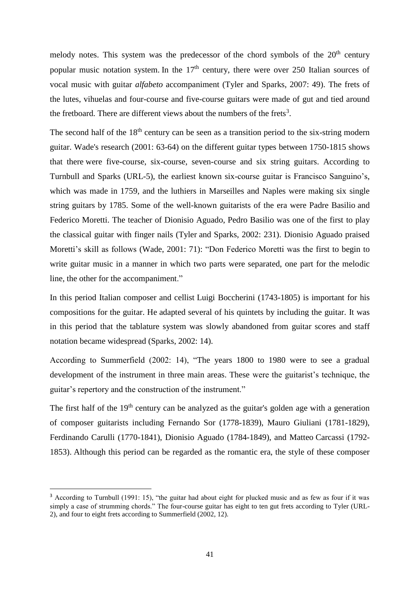melody notes. This system was the predecessor of the chord symbols of the  $20<sup>th</sup>$  century popular music notation system. In the  $17<sup>th</sup>$  century, there were over 250 Italian sources of vocal music with guitar *alfabeto* accompaniment (Tyler and Sparks, 2007: 49). The frets of the lutes, vihuelas and four-course and five-course guitars were made of gut and tied around the fretboard. There are different views about the numbers of the frets<sup>3</sup>.

The second half of the  $18<sup>th</sup>$  century can be seen as a transition period to the six-string modern guitar. Wade's research (2001: 63-64) on the different guitar types between 1750-1815 shows that there were five-course, six-course, seven-course and six string guitars. According to Turnbull and Sparks (URL-5), the earliest known six-course guitar is Francisco Sanguino's, which was made in 1759, and the luthiers in Marseilles and Naples were making six single string guitars by 1785. Some of the well-known guitarists of the era were Padre Basilio and Federico Moretti. The teacher of Dionisio Aguado, Pedro Basilio was one of the first to play the classical guitar with finger nails (Tyler and Sparks, 2002: 231). Dionisio Aguado praised Moretti's skill as follows (Wade, 2001: 71): "Don Federico Moretti was the first to begin to write guitar music in a manner in which two parts were separated, one part for the melodic line, the other for the accompaniment."

In this period Italian composer and cellist Luigi Boccherini (1743-1805) is important for his compositions for the guitar. He adapted several of his quintets by including the guitar. It was in this period that the tablature system was slowly abandoned from guitar scores and staff notation became widespread (Sparks, 2002: 14).

According to Summerfield (2002: 14), "The years 1800 to 1980 were to see a gradual development of the instrument in three main areas. These were the guitarist's technique, the guitar's repertory and the construction of the instrument."

The first half of the  $19<sup>th</sup>$  century can be analyzed as the guitar's golden age with a generation of composer guitarists including Fernando Sor (1778-1839), Mauro Giuliani (1781-1829), Ferdinando Carulli (1770-1841), Dionisio Aguado (1784-1849), and Matteo Carcassi (1792- 1853). Although this period can be regarded as the romantic era, the style of these composer

 $\overline{a}$ 

<sup>&</sup>lt;sup>3</sup> According to Turnbull (1991: 15), "the guitar had about eight for plucked music and as few as four if it was simply a case of strumming chords." The four-course guitar has eight to ten gut frets according to Tyler (URL-2), and four to eight frets according to Summerfield (2002, 12).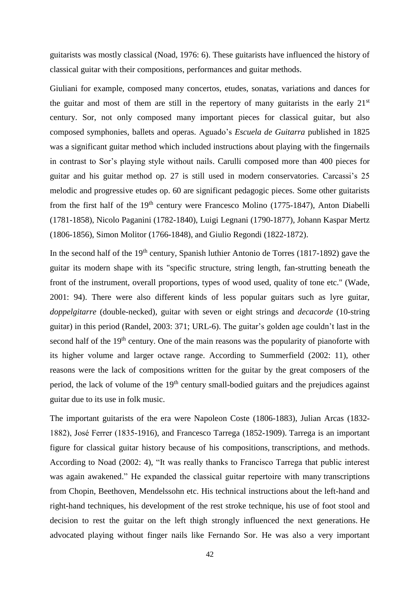guitarists was mostly classical (Noad, 1976: 6). These guitarists have influenced the history of classical guitar with their compositions, performances and guitar methods.

Giuliani for example, composed many concertos, etudes, sonatas, variations and dances for the guitar and most of them are still in the repertory of many guitarists in the early  $21<sup>st</sup>$ century. Sor, not only composed many important pieces for classical guitar, but also composed symphonies, ballets and operas. Aguado's *Escuela de Guitarra* published in 1825 was a significant guitar method which included instructions about playing with the fingernails in contrast to Sor's playing style without nails. Carulli composed more than 400 pieces for guitar and his guitar method op. 27 is still used in modern conservatories. Carcassi's 25 melodic and progressive etudes op. 60 are significant pedagogic pieces. Some other guitarists from the first half of the  $19<sup>th</sup>$  century were Francesco Molino (1775-1847), Anton Diabelli (1781-1858), Nicolo Paganini (1782-1840), Luigi Legnani (1790-1877), Johann Kaspar Mertz (1806-1856), Simon Molitor (1766-1848), and Giulio Regondi (1822-1872).

In the second half of the  $19<sup>th</sup>$  century, Spanish luthier Antonio de Torres (1817-1892) gave the guitar its modern shape with its "specific structure, string length, fan-strutting beneath the front of the instrument, overall proportions, types of wood used, quality of tone etc." (Wade, 2001: 94). There were also different kinds of less popular guitars such as lyre guitar, *doppelgitarre* (double-necked), guitar with seven or eight strings and *decacorde* (10-string guitar) in this period (Randel, 2003: 371; URL-6). The guitar's golden age couldn't last in the second half of the 19<sup>th</sup> century. One of the main reasons was the popularity of pianoforte with its higher volume and larger octave range. According to Summerfield (2002: 11), other reasons were the lack of compositions written for the guitar by the great composers of the period, the lack of volume of the 19<sup>th</sup> century small-bodied guitars and the prejudices against guitar due to its use in folk music.

The important guitarists of the era were Napoleon Coste (1806-1883), Julian Arcas (1832- 1882), José Ferrer (1835-1916), and Francesco Tarrega (1852-1909). Tarrega is an important figure for classical guitar history because of his compositions, transcriptions, and methods. According to Noad (2002: 4), "It was really thanks to Francisco Tarrega that public interest was again awakened." He expanded the classical guitar repertoire with many transcriptions from Chopin, Beethoven, Mendelssohn etc. His technical instructions about the left-hand and right-hand techniques, his development of the rest stroke technique, his use of foot stool and decision to rest the guitar on the left thigh strongly influenced the next generations. He advocated playing without finger nails like Fernando Sor. He was also a very important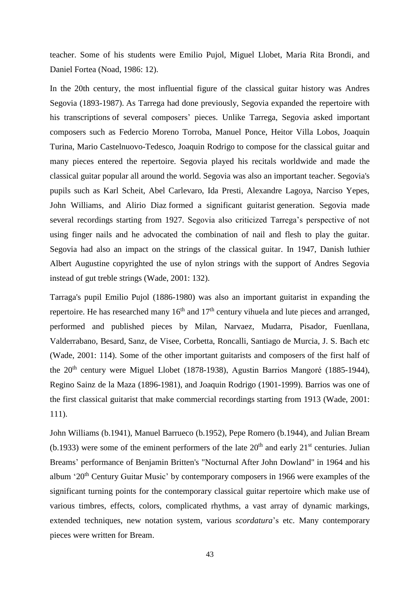teacher. Some of his students were Emilio Pujol, Miguel Llobet, Maria Rita Brondi, and Daniel Fortea (Noad, 1986: 12).

In the 20th century, the most influential figure of the classical guitar history was Andres Segovia (1893-1987). As Tarrega had done previously, Segovia expanded the repertoire with his transcriptions of several composers' pieces. Unlike Tarrega, Segovia asked important composers such as Federcio Moreno Torroba, Manuel Ponce, Heitor Villa Lobos, Joaquin Turina, Mario Castelnuovo-Tedesco, Joaquin Rodrigo to compose for the classical guitar and many pieces entered the repertoire. Segovia played his recitals worldwide and made the classical guitar popular all around the world. Segovia was also an important teacher. Segovia's pupils such as Karl Scheit, Abel Carlevaro, Ida Presti, Alexandre Lagoya, Narciso Yepes, John Williams, and Alirio Diaz formed a significant guitarist generation. Segovia made several recordings starting from 1927. Segovia also criticized Tarrega's perspective of not using finger nails and he advocated the combination of nail and flesh to play the guitar. Segovia had also an impact on the strings of the classical guitar. In 1947, Danish luthier Albert Augustine copyrighted the use of nylon strings with the support of Andres Segovia instead of gut treble strings (Wade, 2001: 132).

Tarraga's pupil Emilio Pujol (1886-1980) was also an important guitarist in expanding the repertoire. He has researched many  $16<sup>th</sup>$  and  $17<sup>th</sup>$  century vihuela and lute pieces and arranged, performed and published pieces by Milan, Narvaez, Mudarra, Pisador, Fuenllana, Valderrabano, Besard, Sanz, de Visee, Corbetta, Roncalli, Santiago de Murcia, J. S. Bach etc (Wade, 2001: 114). Some of the other important guitarists and composers of the first half of the  $20<sup>th</sup>$  century were Miguel Llobet (1878-1938), Agustin Barrios Mangoré (1885-1944), Regino Sainz de la Maza (1896-1981), and Joaquin Rodrigo (1901-1999). Barrios was one of the first classical guitarist that make commercial recordings starting from 1913 (Wade, 2001: 111).

John Williams (b.1941), Manuel Barrueco (b.1952), Pepe Romero (b.1944), and Julian Bream (b.1933) were some of the eminent performers of the late  $20<sup>th</sup>$  and early  $21<sup>st</sup>$  centuries. Julian Breams' performance of Benjamin Britten's "Nocturnal After John Dowland" in 1964 and his album '20<sup>th</sup> Century Guitar Music' by contemporary composers in 1966 were examples of the significant turning points for the contemporary classical guitar repertoire which make use of various timbres, effects, colors, complicated rhythms, a vast array of dynamic markings, extended techniques, new notation system, various *scordatura*'s etc. Many contemporary pieces were written for Bream.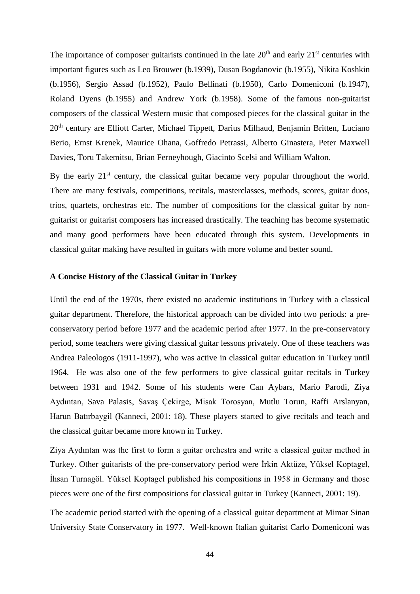The importance of composer guitarists continued in the late  $20<sup>th</sup>$  and early  $21<sup>st</sup>$  centuries with important figures such as Leo Brouwer (b.1939), Dusan Bogdanovic (b.1955), Nikita Koshkin (b.1956), Sergio Assad (b.1952), Paulo Bellinati (b.1950), Carlo Domeniconi (b.1947), Roland Dyens (b.1955) and Andrew York (b.1958). Some of the famous non-guitarist composers of the classical Western music that composed pieces for the classical guitar in the 20<sup>th</sup> century are Elliott Carter, Michael Tippett, Darius Milhaud, Benjamin Britten, Luciano Berio, Ernst Krenek, Maurice Ohana, Goffredo Petrassi, Alberto Ginastera, Peter Maxwell Davies, Toru Takemitsu, Brian Ferneyhough, Giacinto Scelsi and William Walton.

By the early  $21<sup>st</sup>$  century, the classical guitar became very popular throughout the world. There are many festivals, competitions, recitals, masterclasses, methods, scores, guitar duos, trios, quartets, orchestras etc. The number of compositions for the classical guitar by nonguitarist or guitarist composers has increased drastically. The teaching has become systematic and many good performers have been educated through this system. Developments in classical guitar making have resulted in guitars with more volume and better sound.

## **A Concise History of the Classical Guitar in Turkey**

Until the end of the 1970s, there existed no academic institutions in Turkey with a classical guitar department. Therefore, the historical approach can be divided into two periods: a preconservatory period before 1977 and the academic period after 1977. In the pre-conservatory period, some teachers were giving classical guitar lessons privately. One of these teachers was Andrea Paleologos (1911-1997), who was active in classical guitar education in Turkey until 1964. He was also one of the few performers to give classical guitar recitals in Turkey between 1931 and 1942. Some of his students were Can Aybars, Mario Parodi, Ziya Aydıntan, Sava Palasis, Savaş Çekirge, Misak Torosyan, Mutlu Torun, Raffi Arslanyan, Harun Batırbaygil (Kanneci, 2001: 18). These players started to give recitals and teach and the classical guitar became more known in Turkey.

Ziya Aydıntan was the first to form a guitar orchestra and write a classical guitar method in Turkey. Other guitarists of the pre-conservatory period were İrkin Aktüze, Yüksel Koptagel, İhsan Turnagöl. Yüksel Koptagel published his compositions in 1958 in Germany and those pieces were one of the first compositions for classical guitar in Turkey (Kanneci, 2001: 19).

The academic period started with the opening of a classical guitar department at Mimar Sinan University State Conservatory in 1977. Well-known Italian guitarist Carlo Domeniconi was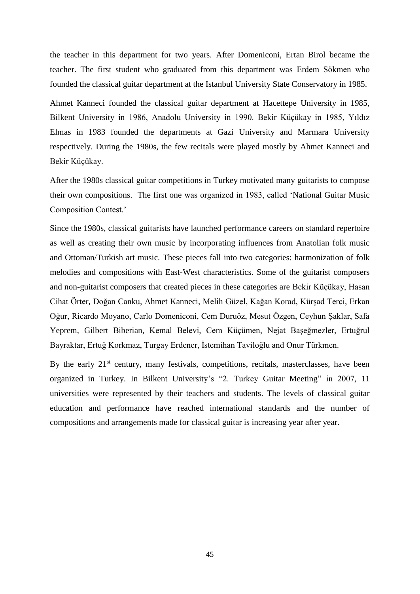the teacher in this department for two years. After Domeniconi, Ertan Birol became the teacher. The first student who graduated from this department was Erdem Sökmen who founded the classical guitar department at the Istanbul University State Conservatory in 1985.

Ahmet Kanneci founded the classical guitar department at Hacettepe University in 1985, Bilkent University in 1986, Anadolu University in 1990. Bekir Küçükay in 1985, Yıldız Elmas in 1983 founded the departments at Gazi University and Marmara University respectively. During the 1980s, the few recitals were played mostly by Ahmet Kanneci and Bekir Küçükay.

After the 1980s classical guitar competitions in Turkey motivated many guitarists to compose their own compositions. The first one was organized in 1983, called 'National Guitar Music Composition Contest.'

Since the 1980s, classical guitarists have launched performance careers on standard repertoire as well as creating their own music by incorporating influences from Anatolian folk music and Ottoman/Turkish art music. These pieces fall into two categories: harmonization of folk melodies and compositions with East-West characteristics. Some of the guitarist composers and non-guitarist composers that created pieces in these categories are Bekir Küçükay, Hasan Cihat Örter, Doğan Canku, Ahmet Kanneci, Melih Güzel, Kağan Korad, Kürşad Terci, Erkan Oğur, Ricardo Moyano, Carlo Domeniconi, Cem Duruöz, Mesut Özgen, Ceyhun Şaklar, Safa Yeprem, Gilbert Biberian, Kemal Belevi, Cem Küçümen, Nejat Başeğmezler, Ertuğrul Bayraktar, Ertuğ Korkmaz, Turgay Erdener, İstemihan Taviloğlu and Onur Türkmen.

By the early 21<sup>st</sup> century, many festivals, competitions, recitals, masterclasses, have been organized in Turkey. In Bilkent University's "2. Turkey Guitar Meeting" in 2007, 11 universities were represented by their teachers and students. The levels of classical guitar education and performance have reached international standards and the number of compositions and arrangements made for classical guitar is increasing year after year.

45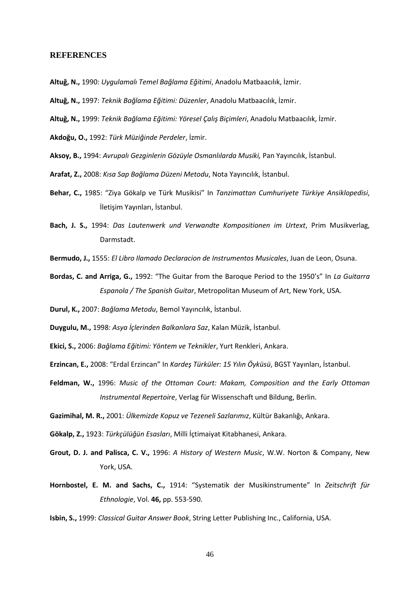## **REFERENCES**

- **Altuğ, N.,** 1990: *Uygulamalı Temel Bağlama Eğitimi*, Anadolu Matbaacılık, İzmir.
- **Altuğ, N.,** 1997: *Teknik Bağlama Eğitimi: Düzenler*, Anadolu Matbaacılık, İzmir.
- **Altuğ, N.,** 1999: *Teknik Bağlama Eğitimi: Yöresel Çalış Biçimleri*, Anadolu Matbaacılık, İzmir.

**Akdoğu, O.,** 1992: *Türk Müziğinde Perdeler*, İzmir.

- **Aksoy, B.,** 1994: *Avrupalı Gezginlerin Gözüyle Osmanlılarda Musiki,* Pan Yayıncılık, İstanbul.
- **Arafat, Z.,** 2008: *Kısa Sap Bağlama Düzeni Metodu*, Nota Yayıncılık, İstanbul.
- **Behar, C.,** 1985: "Ziya Gökalp ve Türk Musikisi" In *Tanzimattan Cumhuriyete Türkiye Ansiklopedisi*, İletişim Yayınları, İstanbul.
- **Bach, J. S.,** 1994: *Das Lautenwerk und Verwandte Kompositionen im Urtext*, Prim Musikverlag, Darmstadt.
- **Bermudo, J.,** 1555: *El Libro Ilamado Declaracion de Instrumentos Musicales*, Juan de Leon, Osuna.
- **Bordas, C. and Arriga, G.,** 1992: "The Guitar from the Baroque Period to the 1950's" In *La Guitarra Espanola / The Spanish Guitar*, Metropolitan Museum of Art, New York, USA.
- **Durul, K.,** 2007: *Bağlama Metodu*, Bemol Yayıncılık, İstanbul.
- **Duygulu, M.,** 1998: *Asya İçlerinden Balkanlara Saz*, Kalan Müzik, İstanbul.
- **Ekici, S.,** 2006: *Bağlama Eğitimi: Yöntem ve Teknikler*, Yurt Renkleri, Ankara.
- **Erzincan, E.,** 2008: "Erdal Erzincan" In *Kardeş Türküler: 15 Yılın Öyküsü*, BGST Yayınları, İstanbul.
- **Feldman, W.,** 1996: *Music of the Ottoman Court: Makam, Composition and the Early Ottoman Instrumental Repertoire*, Verlag für Wissenschaft und Bildung, Berlin.

**Gazimihal, M. R.,** 2001: *Ülkemizde Kopuz ve Tezeneli Sazlarımız*, Kültür Bakanlığı, Ankara.

**Gökalp, Z.,** 1923: *Türkçülüğün Esasları*, Milli İçtimaiyat Kitabhanesi, Ankara.

- **Grout, D. J. and Palisca, C. V.,** 1996: *A History of Western Music*, W.W. Norton & Company, New York, USA.
- **Hornbostel, E. M. and Sachs, C.,** 1914: "Systematik der Musikinstrumente" In *Zeitschrift für Ethnologie*, Vol. **46,** pp. 553-590.

**Isbin, S.,** 1999: *Classical Guitar Answer Book*, String Letter Publishing Inc., California, USA.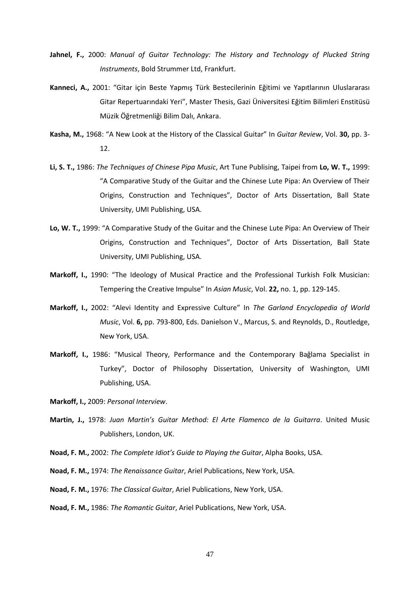- **Jahnel, F.,** 2000: *Manual of Guitar Technology: The History and Technology of Plucked String Instruments*, Bold Strummer Ltd, Frankfurt.
- **Kanneci, A.,** 2001: "Gitar için Beste Yapmış Türk Bestecilerinin Eğitimi ve Yapıtlarının Uluslararası Gitar Repertuarındaki Yeri", Master Thesis, Gazi Üniversitesi Eğitim Bilimleri Enstitüsü Müzik Öğretmenliği Bilim Dalı, Ankara.
- **Kasha, M.,** 1968: "A New Look at the History of the Classical Guitar" In *Guitar Review*, Vol. **30,** pp. 3- 12.
- **Li, S. T.,** 1986: *The Techniques of Chinese Pipa Music*, Art Tune Publising, Taipei from **Lo, W. T.,** 1999: "A Comparative Study of the Guitar and the Chinese Lute Pipa: An Overview of Their Origins, Construction and Techniques", Doctor of Arts Dissertation, Ball State University, UMI Publishing, USA.
- **Lo, W. T.,** 1999: "A Comparative Study of the Guitar and the Chinese Lute Pipa: An Overview of Their Origins, Construction and Techniques", Doctor of Arts Dissertation, Ball State University, UMI Publishing, USA.
- **Markoff, I.,** 1990: "The Ideology of Musical Practice and the Professional Turkish Folk Musician: Tempering the Creative Impulse" In *Asian Music*, Vol. **22,** no. 1, pp. 129-145.
- **Markoff, I.,** 2002: "Alevi Identity and Expressive Culture" In *The Garland Encyclopedia of World Music*, Vol. **6,** pp. 793-800, Eds. Danielson V., Marcus, S. and Reynolds, D., Routledge, New York, USA.
- **Markoff, I.,** 1986: "Musical Theory, Performance and the Contemporary Bağlama Specialist in Turkey", Doctor of Philosophy Dissertation, University of Washington, UMI Publishing, USA.

**Markoff, I.,** 2009: *Personal Interview*.

- **Martin, J.,** 1978: *Juan Martin's Guitar Method: El Arte Flamenco de la Guitarra*. United Music Publishers, London, UK.
- **Noad, F. M.,** 2002: *The Complete Idiot's Guide to Playing the Guitar*, Alpha Books, USA.
- **Noad, F. M.,** 1974: *The Renaissance Guitar*, Ariel Publications, New York, USA.
- **Noad, F. M.,** 1976: *The Classical Guitar*, Ariel Publications, New York, USA.
- **Noad, F. M.,** 1986: *The Romantic Guitar*, Ariel Publications, New York, USA.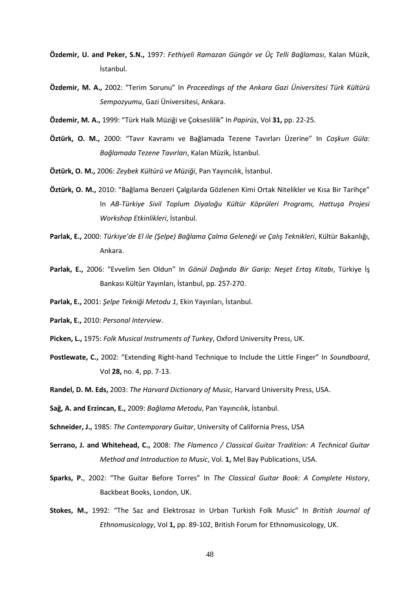- **Özdemir, U. and Peker, S.N.,** 1997: *Fethiyeli Ramazan Güngör ve Üç Telli Bağlaması*, Kalan Müzik, İstanbul.
- **Özdemir, M. A.,** 2002: "Terim Sorunu" In *Proceedings of the Ankara Gazi Üniversitesi Türk Kültürü Sempozyumu*, Gazi Üniversitesi, Ankara.
- **Özdemir, M. A.,** 1999: "Türk Halk Müziği ve Çokseslilik" In *Papirüs*, Vol **31,** pp. 22-25.
- **Öztürk, O. M.,** 2000: "Tavır Kavramı ve Bağlamada Tezene Tavırları Üzerine" In *Coşkun Güla: Bağlamada Tezene Tavırları*, Kalan Müzik, İstanbul.
- **Öztürk, O. M.,** 2006: *Zeybek Kültürü ve Müziği*, Pan Yayıncılık, İstanbul.
- **Öztürk, O. M.,** 2010: "Bağlama Benzeri Çalgılarda Gözlenen Kimi Ortak Nitelikler ve Kısa Bir Tarihçe" In *AB-Türkiye Sivil Toplum Diyaloğu Kültür Köprüleri Programı, Hattuşa Projesi Workshop Etkinlikleri*, İstanbul.
- **Parlak, E.,** 2000: *Türkiye'de El ile (Şelpe) Bağlama Çalma Geleneği ve Çalış Teknikleri*, Kültür Bakanlığı, Ankara.
- **Parlak, E.,** 2006: "Evvelim Sen Oldun" In *Gönül Dağında Bir Garip: Neşet Ertaş Kitabı*, Türkiye İş Bankası Kültür Yayınları, İstanbul, pp. 257-270.
- **Parlak, E.,** 2001: *Şelpe Tekniği Metodu 1*, Ekin Yayınları, İstanbul.
- **Parlak, E.,** 2010: *Personal Interview*.
- **Picken, L.,** 1975: *Folk Musical Instruments of Turkey*, Oxford University Press, UK.
- **Postlewate, C.,** 2002: "Extending Right-hand Technique to Include the Little Finger" In *Soundboard*, Vol **28,** no. 4, pp. 7-13.
- **Randel, D. M. Eds,** 2003: *The Harvard Dictionary of Music*, Harvard University Press, USA.
- **Sağ, A. and Erzincan, E.,** 2009: *Bağlama Metodu*, Pan Yayıncılık, İstanbul.
- **Schneider, J.,** 1985: *The Contemporary Guitar*, University of California Press, USA
- **Serrano, J. and Whitehead, C.,** 2008: *The Flamenco / Classical Guitar Tradition: A Technical Guitar Method and Introduction to Music*, Vol. **1,** Mel Bay Publications, USA.
- **Sparks, P.**, 2002: "The Guitar Before Torres" In *The Classical Guitar Book: A Complete History*, Backbeat Books, London, UK.
- **Stokes, M.,** 1992: "The Saz and Elektrosaz in Urban Turkish Folk Music" In *British Journal of Ethnomusicology*, Vol **1,** pp. 89-102, British Forum for Ethnomusicology, UK.